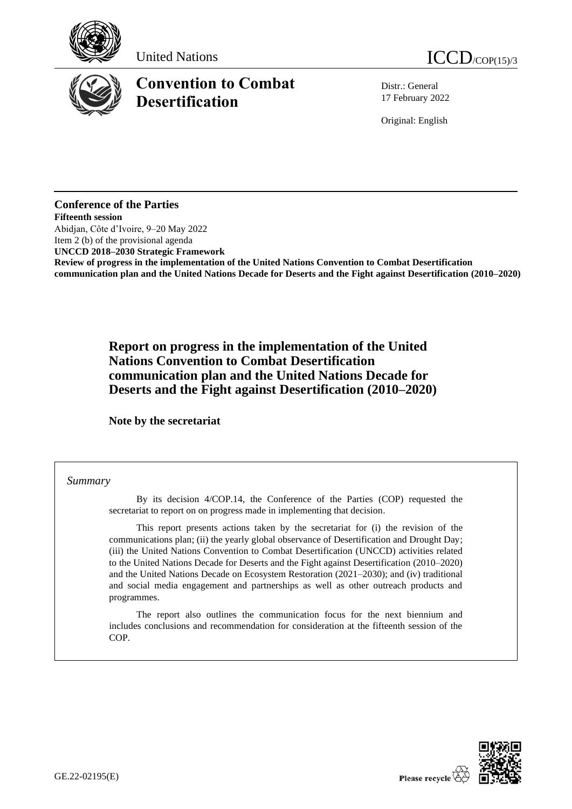





# **Convention to Combat Desertification**

Distr.: General 17 February 2022

Original: English

## **Conference of the Parties Fifteenth session** Abidjan, Côte d'Ivoire, 9–20 May 2022 Item 2 (b) of the provisional agenda **UNCCD 2018–2030 Strategic Framework Review of progress in the implementation of the United Nations Convention to Combat Desertification communication plan and the United Nations Decade for Deserts and the Fight against Desertification (2010–2020)**

**Report on progress in the implementation of the United Nations Convention to Combat Desertification communication plan and the United Nations Decade for Deserts and the Fight against Desertification (2010–2020)**

**Note by the secretariat**

## *Summary*

By its decision 4/COP.14, the Conference of the Parties (COP) requested the secretariat to report on on progress made in implementing that decision.

This report presents actions taken by the secretariat for (i) the revision of the communications plan; (ii) the yearly global observance of Desertification and Drought Day; (iii) the United Nations Convention to Combat Desertification (UNCCD) activities related to the United Nations Decade for Deserts and the Fight against Desertification (2010–2020) and the United Nations Decade on Ecosystem Restoration (2021–2030); and (iv) traditional and social media engagement and partnerships as well as other outreach products and programmes.

The report also outlines the communication focus for the next biennium and includes conclusions and recommendation for consideration at the fifteenth session of the COP.

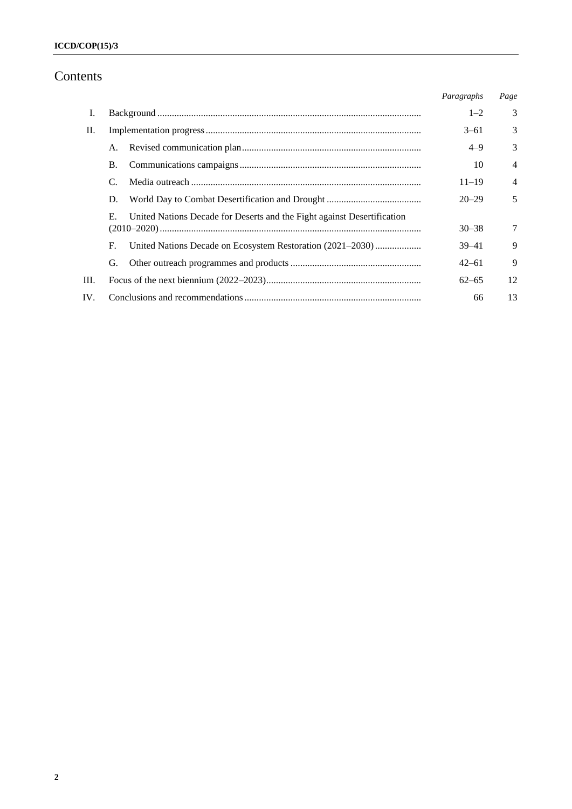# Contents

|     |    |                                                                         | Paragraphs | Page           |
|-----|----|-------------------------------------------------------------------------|------------|----------------|
| Ι.  |    |                                                                         | $1 - 2$    | 3              |
| П.  |    |                                                                         | $3 - 61$   | 3              |
|     | A. |                                                                         | $4 - 9$    | 3              |
|     | B. |                                                                         | 10         | $\overline{4}$ |
|     |    |                                                                         | $11 - 19$  | 4              |
|     | D. |                                                                         | $20 - 29$  | 5              |
|     | Е. | United Nations Decade for Deserts and the Fight against Desertification | $30 - 38$  | 7              |
|     | F. | United Nations Decade on Ecosystem Restoration (2021–2030)              | $39 - 41$  | 9              |
|     | G. |                                                                         | $42 - 61$  | 9              |
| Ш.  |    |                                                                         | $62 - 65$  | 12             |
| IV. |    |                                                                         | 66         | 13             |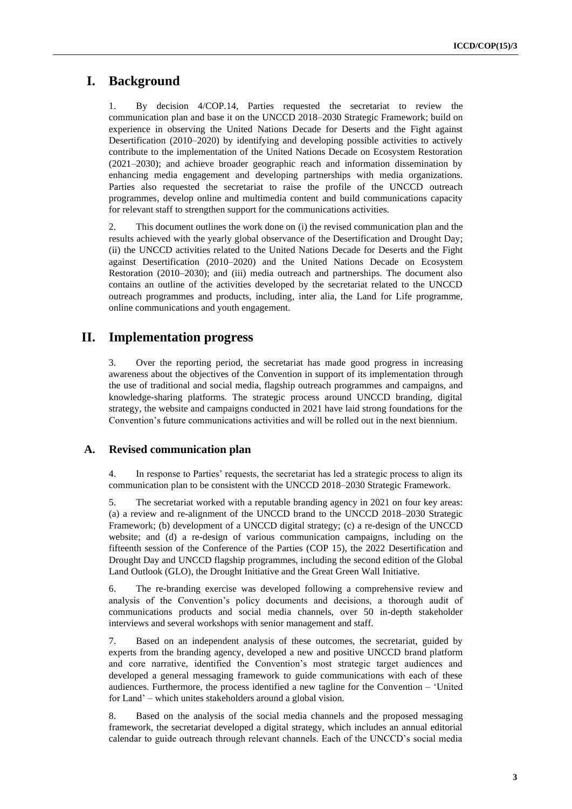# **I. Background**

1. By decision 4/COP.14, Parties requested the secretariat to review the communication plan and base it on the UNCCD 2018–2030 Strategic Framework; build on experience in observing the United Nations Decade for Deserts and the Fight against Desertification (2010–2020) by identifying and developing possible activities to actively contribute to the implementation of the United Nations Decade on Ecosystem Restoration (2021–2030); and achieve broader geographic reach and information dissemination by enhancing media engagement and developing partnerships with media organizations. Parties also requested the secretariat to raise the profile of the UNCCD outreach programmes, develop online and multimedia content and build communications capacity for relevant staff to strengthen support for the communications activities.

2. This document outlines the work done on (i) the revised communication plan and the results achieved with the yearly global observance of the Desertification and Drought Day; (ii) the UNCCD activities related to the United Nations Decade for Deserts and the Fight against Desertification (2010–2020) and the United Nations Decade on Ecosystem Restoration (2010–2030); and (iii) media outreach and partnerships. The document also contains an outline of the activities developed by the secretariat related to the UNCCD outreach programmes and products, including, inter alia, the Land for Life programme, online communications and youth engagement.

## **II. Implementation progress**

3. Over the reporting period, the secretariat has made good progress in increasing awareness about the objectives of the Convention in support of its implementation through the use of traditional and social media, flagship outreach programmes and campaigns, and knowledge-sharing platforms. The strategic process around UNCCD branding, digital strategy, the website and campaigns conducted in 2021 have laid strong foundations for the Convention's future communications activities and will be rolled out in the next biennium.

## **A. Revised communication plan**

4. In response to Parties' requests, the secretariat has led a strategic process to align its communication plan to be consistent with the UNCCD 2018–2030 Strategic Framework.

5. The secretariat worked with a reputable branding agency in 2021 on four key areas: (a) a review and re-alignment of the UNCCD brand to the UNCCD 2018–2030 Strategic Framework; (b) development of a UNCCD digital strategy; (c) a re-design of the UNCCD website; and (d) a re-design of various communication campaigns, including on the fifteenth session of the Conference of the Parties (COP 15), the 2022 Desertification and Drought Day and UNCCD flagship programmes, including the second edition of the Global Land Outlook (GLO), the Drought Initiative and the Great Green Wall Initiative.

6. The re-branding exercise was developed following a comprehensive review and analysis of the Convention's policy documents and decisions, a thorough audit of communications products and social media channels, over 50 in-depth stakeholder interviews and several workshops with senior management and staff.

7. Based on an independent analysis of these outcomes, the secretariat, guided by experts from the branding agency, developed a new and positive UNCCD brand platform and core narrative, identified the Convention's most strategic target audiences and developed a general messaging framework to guide communications with each of these audiences. Furthermore, the process identified a new tagline for the Convention – 'United for Land' – which unites stakeholders around a global vision.

8. Based on the analysis of the social media channels and the proposed messaging framework, the secretariat developed a digital strategy, which includes an annual editorial calendar to guide outreach through relevant channels. Each of the UNCCD's social media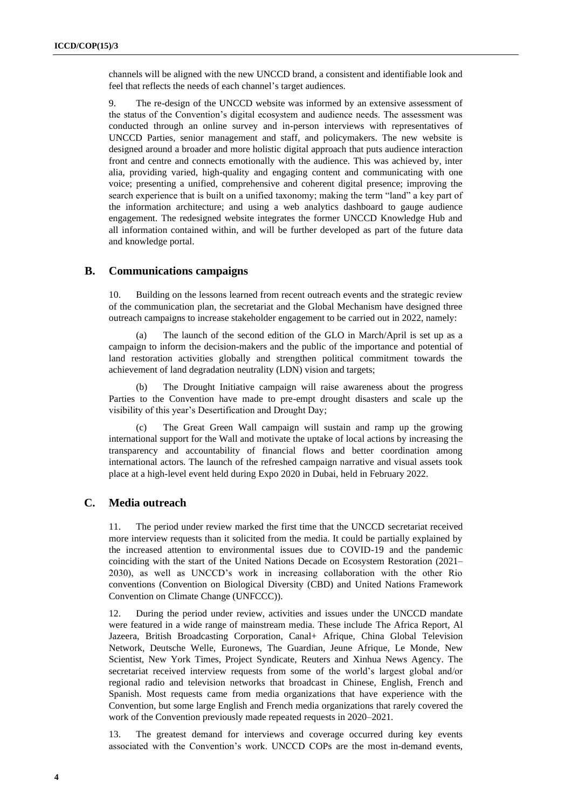channels will be aligned with the new UNCCD brand, a consistent and identifiable look and feel that reflects the needs of each channel's target audiences.

9. The re-design of the UNCCD website was informed by an extensive assessment of the status of the Convention's digital ecosystem and audience needs. The assessment was conducted through an online survey and in-person interviews with representatives of UNCCD Parties, senior management and staff, and policymakers. The new website is designed around a broader and more holistic digital approach that puts audience interaction front and centre and connects emotionally with the audience. This was achieved by, inter alia, providing varied, high-quality and engaging content and communicating with one voice; presenting a unified, comprehensive and coherent digital presence; improving the search experience that is built on a unified taxonomy; making the term "land" a key part of the information architecture; and using a web analytics dashboard to gauge audience engagement. The redesigned website integrates the former UNCCD Knowledge Hub and all information contained within, and will be further developed as part of the future data and knowledge portal.

## **B. Communications campaigns**

10. Building on the lessons learned from recent outreach events and the strategic review of the communication plan, the secretariat and the Global Mechanism have designed three outreach campaigns to increase stakeholder engagement to be carried out in 2022, namely:

(a) The launch of the second edition of the GLO in March/April is set up as a campaign to inform the decision-makers and the public of the importance and potential of land restoration activities globally and strengthen political commitment towards the achievement of land degradation neutrality (LDN) vision and targets;

(b) The Drought Initiative campaign will raise awareness about the progress Parties to the Convention have made to pre-empt drought disasters and scale up the visibility of this year's Desertification and Drought Day;

(c) The Great Green Wall campaign will sustain and ramp up the growing international support for the Wall and motivate the uptake of local actions by increasing the transparency and accountability of financial flows and better coordination among international actors. The launch of the refreshed campaign narrative and visual assets took place at a high-level event held during Expo 2020 in Dubai, held in February 2022.

## **C. Media outreach**

11. The period under review marked the first time that the UNCCD secretariat received more interview requests than it solicited from the media. It could be partially explained by the increased attention to environmental issues due to COVID-19 and the pandemic coinciding with the start of the United Nations Decade on Ecosystem Restoration (2021– 2030), as well as UNCCD's work in increasing collaboration with the other Rio conventions (Convention on Biological Diversity (CBD) and United Nations Framework Convention on Climate Change (UNFCCC)).

12. During the period under review, activities and issues under the UNCCD mandate were featured in a wide range of mainstream media. These include The Africa Report, Al Jazeera, British Broadcasting Corporation, Canal+ Afrique, China Global Television Network, Deutsche Welle, Euronews, The Guardian, Jeune Afrique, Le Monde, New Scientist, New York Times, Project Syndicate, Reuters and Xinhua News Agency. The secretariat received interview requests from some of the world's largest global and/or regional radio and television networks that broadcast in Chinese, English, French and Spanish. Most requests came from media organizations that have experience with the Convention, but some large English and French media organizations that rarely covered the work of the Convention previously made repeated requests in 2020–2021.

13. The greatest demand for interviews and coverage occurred during key events associated with the Convention's work. UNCCD COPs are the most in-demand events,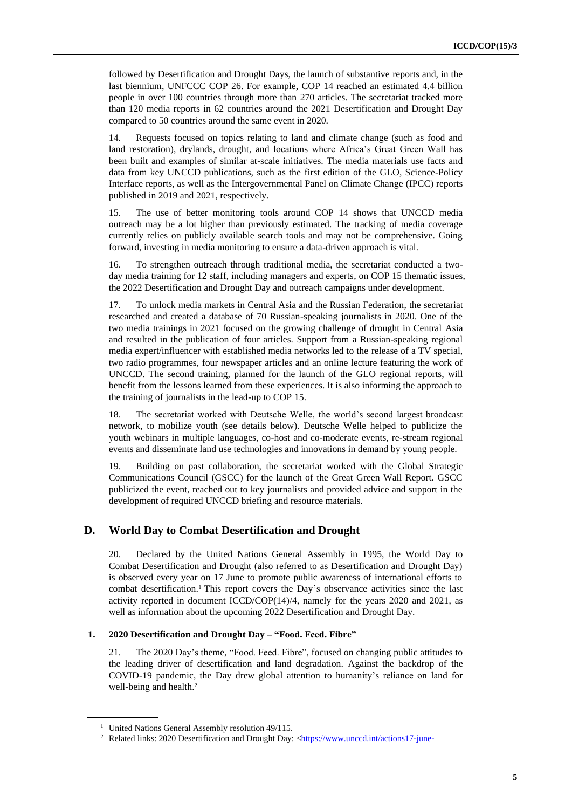followed by Desertification and Drought Days, the launch of substantive reports and, in the last biennium, UNFCCC COP 26. For example, COP 14 reached an estimated 4.4 billion people in over 100 countries through more than 270 articles. The secretariat tracked more than 120 media reports in 62 countries around the 2021 Desertification and Drought Day compared to 50 countries around the same event in 2020.

14. Requests focused on topics relating to land and climate change (such as food and land restoration), drylands, drought, and locations where Africa's Great Green Wall has been built and examples of similar at-scale initiatives. The media materials use facts and data from key UNCCD publications, such as the first edition of the GLO, Science-Policy Interface reports, as well as the Intergovernmental Panel on Climate Change (IPCC) reports published in 2019 and 2021, respectively.

15. The use of better monitoring tools around COP 14 shows that UNCCD media outreach may be a lot higher than previously estimated. The tracking of media coverage currently relies on publicly available search tools and may not be comprehensive. Going forward, investing in media monitoring to ensure a data-driven approach is vital.

16. To strengthen outreach through traditional media, the secretariat conducted a twoday media training for 12 staff, including managers and experts, on COP 15 thematic issues, the 2022 Desertification and Drought Day and outreach campaigns under development.

17. To unlock media markets in Central Asia and the Russian Federation, the secretariat researched and created a database of 70 Russian-speaking journalists in 2020. One of the two media trainings in 2021 focused on the growing challenge of drought in Central Asia and resulted in the publication of four articles. Support from a Russian-speaking regional media expert/influencer with established media networks led to the release of a TV special, two radio programmes, four newspaper articles and an online lecture featuring the work of UNCCD. The second training, planned for the launch of the GLO regional reports, will benefit from the lessons learned from these experiences. It is also informing the approach to the training of journalists in the lead-up to COP 15.

18. The secretariat worked with Deutsche Welle, the world's second largest broadcast network, to mobilize youth (see details below). Deutsche Welle helped to publicize the youth webinars in multiple languages, co-host and co-moderate events, re-stream regional events and disseminate land use technologies and innovations in demand by young people.

19. Building on past collaboration, the secretariat worked with the Global Strategic Communications Council (GSCC) for the launch of the Great Green Wall Report. GSCC publicized the event, reached out to key journalists and provided advice and support in the development of required UNCCD briefing and resource materials.

## **D. World Day to Combat Desertification and Drought**

20. Declared by the United Nations General Assembly in 1995, the World Day to Combat Desertification and Drought (also referred to as Desertification and Drought Day) is observed every year on 17 June to promote public awareness of international efforts to combat desertification.<sup>1</sup> This report covers the Day's observance activities since the last activity reported in document ICCD/COP(14)/4, namely for the years 2020 and 2021, as well as information about the upcoming 2022 Desertification and Drought Day.

### **1. 2020 Desertification and Drought Day – "Food. Feed. Fibre"**

21. The 2020 Day's theme, "Food. Feed. Fibre", focused on changing public attitudes to the leading driver of desertification and land degradation. Against the backdrop of the COVID-19 pandemic, the Day drew global attention to humanity's reliance on land for well-being and health. 2

<sup>&</sup>lt;sup>1</sup> United Nations General Assembly resolution 49/115.

<sup>&</sup>lt;sup>2</sup> Related links: 2020 Desertification and Drought Day: [<https://www.unccd.int/actions17-june-](https://www.unccd.int/actions17-june-desertification-and-drought-day/2020-desertification-and-drought-day)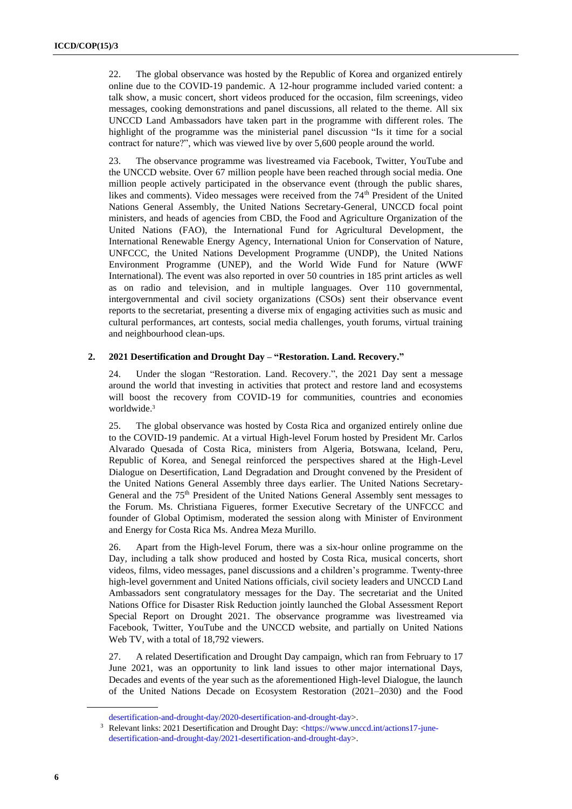22. The global observance was hosted by the Republic of Korea and organized entirely online due to the COVID-19 pandemic. A 12-hour programme included varied content: a talk show, a music concert, short videos produced for the occasion, film screenings, video messages, cooking demonstrations and panel discussions, all related to the theme. All six UNCCD Land Ambassadors have taken part in the programme with different roles. The highlight of the programme was the ministerial panel discussion "Is it time for a social contract for nature?", which was viewed live by over 5,600 people around the world.

23. The observance programme was livestreamed via Facebook, Twitter, YouTube and the UNCCD website. Over 67 million people have been reached through social media. One million people actively participated in the observance event (through the public shares, likes and comments). Video messages were received from the 74<sup>th</sup> President of the United Nations General Assembly, the United Nations Secretary-General, UNCCD focal point ministers, and heads of agencies from CBD, the Food and Agriculture Organization of the United Nations (FAO), the International Fund for Agricultural Development, the International Renewable Energy Agency, International Union for Conservation of Nature, UNFCCC, the United Nations Development Programme (UNDP), the United Nations Environment Programme (UNEP), and the World Wide Fund for Nature (WWF International). The event was also reported in over 50 countries in 185 print articles as well as on radio and television, and in multiple languages. Over 110 governmental, intergovernmental and civil society organizations (CSOs) sent their observance event reports to the secretariat, presenting a diverse mix of engaging activities such as music and cultural performances, art contests, social media challenges, youth forums, virtual training and neighbourhood clean-ups.

### **2. 2021 Desertification and Drought Day – "Restoration. Land. Recovery."**

24. Under the slogan "Restoration. Land. Recovery.", the 2021 Day sent a message around the world that investing in activities that protect and restore land and ecosystems will boost the recovery from COVID-19 for communities, countries and economies worldwide.<sup>3</sup>

25. The global observance was hosted by Costa Rica and organized entirely online due to the COVID-19 pandemic. At a virtual High-level Forum hosted by President Mr. Carlos Alvarado Quesada of Costa Rica, ministers from Algeria, Botswana, Iceland, Peru, Republic of Korea, and Senegal reinforced the perspectives shared at the High-Level Dialogue on Desertification, Land Degradation and Drought convened by the President of the United Nations General Assembly three days earlier. The United Nations Secretary-General and the 75<sup>th</sup> President of the United Nations General Assembly sent messages to the Forum. Ms. Christiana Figueres, former Executive Secretary of the UNFCCC and founder of Global Optimism, moderated the session along with Minister of Environment and Energy for Costa Rica Ms. Andrea Meza Murillo.

26. Apart from the High-level Forum, there was a six-hour online programme on the Day, including a talk show produced and hosted by Costa Rica, musical concerts, short videos, films, video messages, panel discussions and a children's programme. Twenty-three high-level government and United Nations officials, civil society leaders and UNCCD Land Ambassadors sent congratulatory messages for the Day. The secretariat and the United Nations Office for Disaster Risk Reduction jointly launched the Global Assessment Report Special Report on Drought 2021. The observance programme was livestreamed via Facebook, Twitter, YouTube and the UNCCD website, and partially on United Nations Web TV, with a total of 18,792 viewers.

27. A related Desertification and Drought Day campaign, which ran from February to 17 June 2021, was an opportunity to link land issues to other major international Days, Decades and events of the year such as the aforementioned High-level Dialogue, the launch of the United Nations Decade on Ecosystem Restoration (2021–2030) and the Food

[desertification-and-drought-day/2020-desertification-and-drought-day>](https://www.unccd.int/actions17-june-desertification-and-drought-day/2020-desertification-and-drought-day).

<sup>&</sup>lt;sup>3</sup> Relevant links: 2021 Desertification and Drought Day: [<https://www.unccd.int/actions17-june](https://www.unccd.int/actions17-june-desertification-and-drought-day/2021-desertification-and-drought-day)[desertification-and-drought-day/2021-desertification-and-drought-day>](https://www.unccd.int/actions17-june-desertification-and-drought-day/2021-desertification-and-drought-day).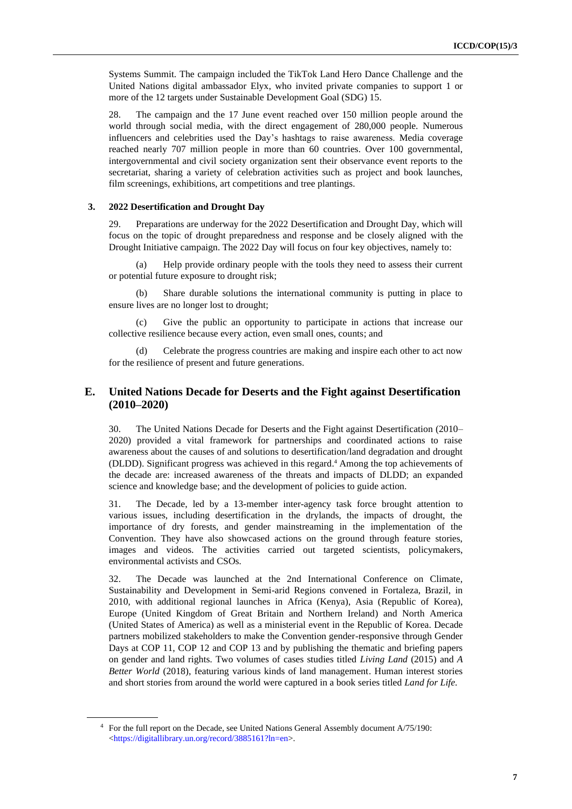Systems Summit. The campaign included the TikTok Land Hero Dance Challenge and the United Nations digital ambassador Elyx, who invited private companies to support 1 or more of the 12 targets under Sustainable Development Goal (SDG) 15.

28. The campaign and the 17 June event reached over 150 million people around the world through social media, with the direct engagement of 280,000 people. Numerous influencers and celebrities used the Day's hashtags to raise awareness. Media coverage reached nearly 707 million people in more than 60 countries. Over 100 governmental, intergovernmental and civil society organization sent their observance event reports to the secretariat, sharing a variety of celebration activities such as project and book launches, film screenings, exhibitions, art competitions and tree plantings.

#### **3. 2022 Desertification and Drought Day**

29. Preparations are underway for the 2022 Desertification and Drought Day, which will focus on the topic of drought preparedness and response and be closely aligned with the Drought Initiative campaign. The 2022 Day will focus on four key objectives, namely to:

(a) Help provide ordinary people with the tools they need to assess their current or potential future exposure to drought risk;

(b) Share durable solutions the international community is putting in place to ensure lives are no longer lost to drought;

(c) Give the public an opportunity to participate in actions that increase our collective resilience because every action, even small ones, counts; and

(d) Celebrate the progress countries are making and inspire each other to act now for the resilience of present and future generations.

## **E. United Nations Decade for Deserts and the Fight against Desertification (2010–2020)**

30. The United Nations Decade for Deserts and the Fight against Desertification (2010– 2020) provided a vital framework for partnerships and coordinated actions to raise awareness about the causes of and solutions to desertification/land degradation and drought (DLDD). Significant progress was achieved in this regard. <sup>4</sup> Among the top achievements of the decade are: increased awareness of the threats and impacts of DLDD; an expanded science and knowledge base; and the development of policies to guide action.

31. The Decade, led by a 13-member inter-agency task force brought attention to various issues, including desertification in the drylands, the impacts of drought, the importance of dry forests, and gender mainstreaming in the implementation of the Convention. They have also showcased actions on the ground through feature stories, images and videos. The activities carried out targeted scientists, policymakers, environmental activists and CSOs.

32. The Decade was launched at the 2nd International Conference on Climate, Sustainability and Development in Semi-arid Regions convened in Fortaleza, Brazil, in 2010, with additional regional launches in Africa (Kenya), Asia (Republic of Korea), Europe (United Kingdom of Great Britain and Northern Ireland) and North America (United States of America) as well as a ministerial event in the Republic of Korea. Decade partners mobilized stakeholders to make the Convention gender-responsive through Gender Days at COP 11, COP 12 and COP 13 and by publishing the thematic and briefing papers on gender and land rights. Two volumes of cases studies titled *Living Land* (2015) and *A Better World* (2018), featuring various kinds of land management. Human interest stories and short stories from around the world were captured in a book series titled *Land for Life.* 

<sup>4</sup> For the full report on the Decade, see United Nations General Assembly document A/75/190: [<https://digitallibrary.un.org/record/3885161?ln=en>](https://digitallibrary.un.org/record/3885161?ln=en).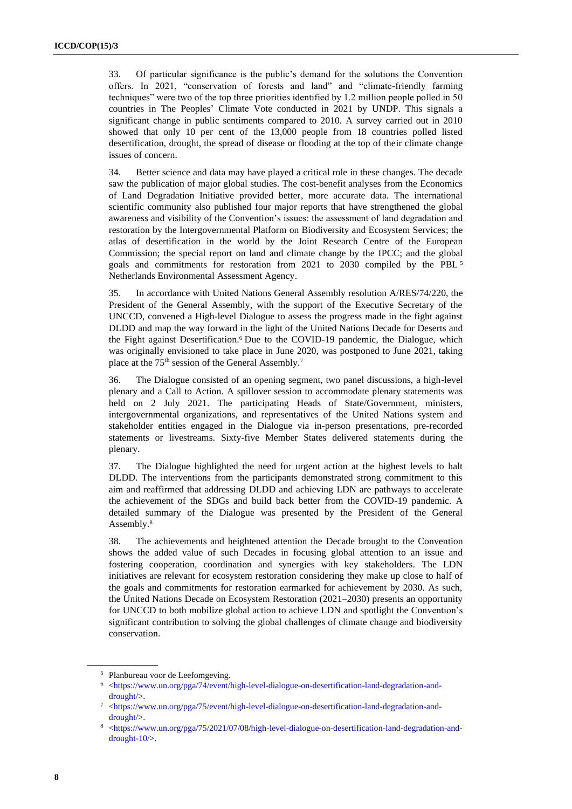33. Of particular significance is the public's demand for the solutions the Convention offers. In 2021, "conservation of forests and land" and "climate-friendly farming techniques" were two of the top three priorities identified by 1.2 million people polled in 50 countries in The Peoples' Climate Vote conducted in 2021 by UNDP. This signals a significant change in public sentiments compared to 2010. A survey carried out in 2010 showed that only 10 per cent of the 13,000 people from 18 countries polled listed desertification, drought, the spread of disease or flooding at the top of their climate change issues of concern.

34. Better science and data may have played a critical role in these changes. The decade saw the publication of major global studies. The cost-benefit analyses from the Economics of Land Degradation Initiative provided better, more accurate data. The international scientific community also published four major reports that have strengthened the global awareness and visibility of the Convention's issues: the assessment of land degradation and restoration by the Intergovernmental Platform on Biodiversity and Ecosystem Services; the atlas of desertification in the world by the Joint Research Centre of the European Commission; the special report on land and climate change by the IPCC; and the global goals and commitments for restoration from 2021 to 2030 compiled by the PBL <sup>5</sup> Netherlands Environmental Assessment Agency.

35. In accordance with United Nations General Assembly resolution A/RES/74/220, the President of the General Assembly, with the support of the Executive Secretary of the UNCCD, convened a High-level Dialogue to assess the progress made in the fight against DLDD and map the way forward in the light of the United Nations Decade for Deserts and the Fight against Desertification.<sup>6</sup> Due to the COVID-19 pandemic, the Dialogue, which was originally envisioned to take place in June 2020, was postponed to June 2021, taking place at the 75<sup>th</sup> session of the General Assembly.<sup>7</sup>

36. The Dialogue consisted of an opening segment, two panel discussions, a high-level plenary and a Call to Action. A spillover session to accommodate plenary statements was held on 2 July 2021. The participating Heads of State/Government, ministers, intergovernmental organizations, and representatives of the United Nations system and stakeholder entities engaged in the Dialogue via in-person presentations, pre-recorded statements or livestreams. Sixty-five Member States delivered statements during the plenary.

37. The Dialogue highlighted the need for urgent action at the highest levels to halt DLDD. The interventions from the participants demonstrated strong commitment to this aim and reaffirmed that addressing DLDD and achieving LDN are pathways to accelerate the achievement of the SDGs and build back better from the COVID-19 pandemic. A detailed summary of the Dialogue was presented by the President of the General Assembly.<sup>8</sup>

38. The achievements and heightened attention the Decade brought to the Convention shows the added value of such Decades in focusing global attention to an issue and fostering cooperation, coordination and synergies with key stakeholders. The LDN initiatives are relevant for ecosystem restoration considering they make up close to half of the goals and commitments for restoration earmarked for achievement by 2030. As such, the United Nations Decade on Ecosystem Restoration (2021–2030) presents an opportunity for UNCCD to both mobilize global action to achieve LDN and spotlight the Convention's significant contribution to solving the global challenges of climate change and biodiversity conservation.

<sup>5</sup> Planbureau voor de Leefomgeving.

<sup>6</sup> [<https://www.un.org/pga/74/event/high-level-dialogue-on-desertification-land-degradation-and](https://www.un.org/pga/74/event/high-level-dialogue-on-desertification-land-degradation-and-drought/)[drought/>](https://www.un.org/pga/74/event/high-level-dialogue-on-desertification-land-degradation-and-drought/).

<sup>7</sup> [<https://www.un.org/pga/75/event/high-level-dialogue-on-desertification-land-degradation-and](https://www.un.org/pga/75/event/high-level-dialogue-on-desertification-land-degradation-and-drought/)[drought/>](https://www.un.org/pga/75/event/high-level-dialogue-on-desertification-land-degradation-and-drought/).

<sup>8</sup> [<https://www.un.org/pga/75/2021/07/08/high-level-dialogue-on-desertification-land-degradation-and](https://www.un.org/pga/75/2021/07/08/high-level-dialogue-on-desertification-land-degradation-and-drought-10/)[drought-10/>](https://www.un.org/pga/75/2021/07/08/high-level-dialogue-on-desertification-land-degradation-and-drought-10/).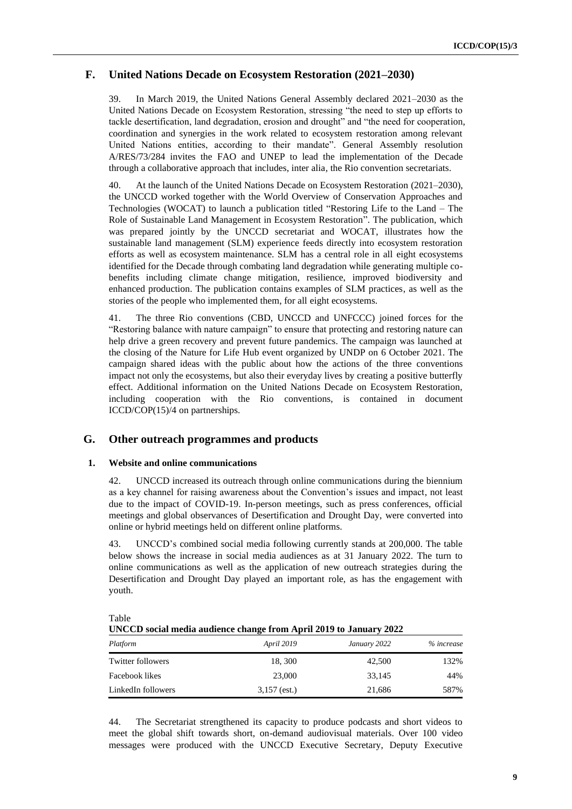## **F. United Nations Decade on Ecosystem Restoration (2021–2030)**

39. In March 2019, the United Nations General Assembly declared 2021–2030 as the United Nations Decade on Ecosystem Restoration, stressing "the need to step up efforts to tackle desertification, land degradation, erosion and drought" and "the need for cooperation, coordination and synergies in the work related to ecosystem restoration among relevant United Nations entities, according to their mandate". General Assembly resolution A/RES/73/284 invites the FAO and UNEP to lead the implementation of the Decade through a collaborative approach that includes, inter alia*,* the Rio convention secretariats.

40. At the launch of the United Nations Decade on Ecosystem Restoration (2021–2030), the UNCCD worked together with the World Overview of Conservation Approaches and Technologies (WOCAT) to launch a publication titled "Restoring Life to the Land – The Role of Sustainable Land Management in Ecosystem Restoration". The publication, which was prepared jointly by the UNCCD secretariat and WOCAT, illustrates how the sustainable land management (SLM) experience feeds directly into ecosystem restoration efforts as well as ecosystem maintenance. SLM has a central role in all eight ecosystems identified for the Decade through combating land degradation while generating multiple cobenefits including climate change mitigation, resilience, improved biodiversity and enhanced production. The publication contains examples of SLM practices, as well as the stories of the people who implemented them, for all eight ecosystems.

41. The three Rio conventions (CBD, UNCCD and UNFCCC) joined forces for the "Restoring balance with nature campaign" to ensure that protecting and restoring nature can help drive a green recovery and prevent future pandemics. The campaign was launched at the closing of the Nature for Life Hub event organized by UNDP on 6 October 2021. The campaign shared ideas with the public about how the actions of the three conventions impact not only the ecosystems, but also their everyday lives by creating a positive butterfly effect. Additional information on the United Nations Decade on Ecosystem Restoration, including cooperation with the Rio conventions, is contained in document ICCD/COP(15)/4 on partnerships.

## **G. Other outreach programmes and products**

### **1. Website and online communications**

42. UNCCD increased its outreach through online communications during the biennium as a key channel for raising awareness about the Convention's issues and impact, not least due to the impact of COVID-19. In-person meetings, such as press conferences, official meetings and global observances of Desertification and Drought Day, were converted into online or hybrid meetings held on different online platforms.

43. UNCCD's combined social media following currently stands at 200,000. The table below shows the increase in social media audiences as at 31 January 2022. The turn to online communications as well as the application of new outreach strategies during the Desertification and Drought Day played an important role, as has the engagement with youth.

| UNCCD social media addience change from April 2019 to January 2022 |                   |              |            |  |  |  |
|--------------------------------------------------------------------|-------------------|--------------|------------|--|--|--|
| Platform                                                           | <i>April</i> 2019 | January 2022 | % increase |  |  |  |
| Twitter followers                                                  | 18, 300           | 42,500       | 132%       |  |  |  |
| Facebook likes                                                     | 23,000            | 33.145       | 44%        |  |  |  |
| LinkedIn followers                                                 | $3,157$ (est.)    | 21,686       | 587%       |  |  |  |

Table

**UNCCD social media audience change from April 2019 to January 2022**

44. The Secretariat strengthened its capacity to produce podcasts and short videos to meet the global shift towards short, on-demand audiovisual materials. Over 100 video messages were produced with the UNCCD Executive Secretary, Deputy Executive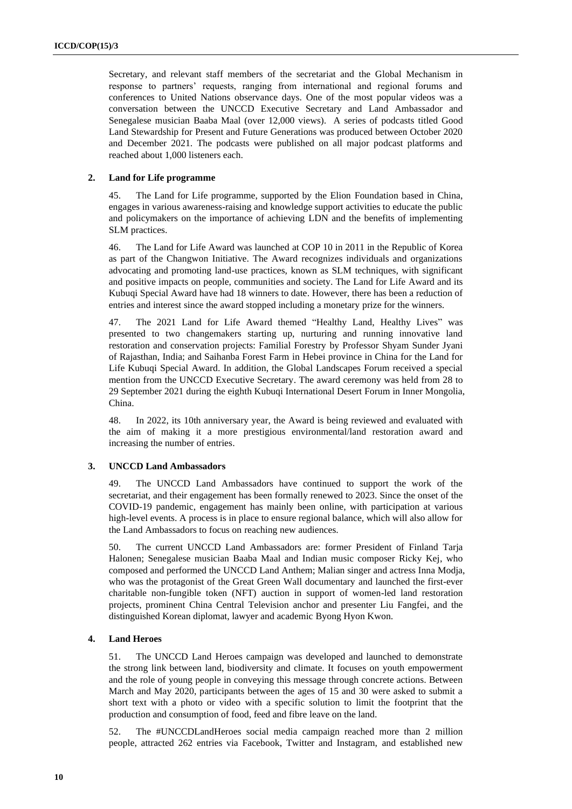Secretary, and relevant staff members of the secretariat and the Global Mechanism in response to partners' requests, ranging from international and regional forums and conferences to United Nations observance days. One of the most popular videos was a conversation between the UNCCD Executive Secretary and Land Ambassador and Senegalese musician Baaba Maal (over 12,000 views). A series of podcasts titled Good Land Stewardship for Present and Future Generations was produced between October 2020 and December 2021. The podcasts were published on all major podcast platforms and reached about 1,000 listeners each.

#### **2. Land for Life programme**

45. The Land for Life programme, supported by the Elion Foundation based in China, engages in various awareness-raising and knowledge support activities to educate the public and policymakers on the importance of achieving LDN and the benefits of implementing SLM practices.

46. The Land for Life Award was launched at COP 10 in 2011 in the Republic of Korea as part of the Changwon Initiative. The Award recognizes individuals and organizations advocating and promoting land-use practices, known as SLM techniques, with significant and positive impacts on people, communities and society. The Land for Life Award and its Kubuqi Special Award have had 18 winners to date. However, there has been a reduction of entries and interest since the award stopped including a monetary prize for the winners.

47. The 2021 Land for Life Award themed "Healthy Land, Healthy Lives" was presented to two changemakers starting up, nurturing and running innovative land restoration and conservation projects: Familial Forestry by Professor Shyam Sunder Jyani of Rajasthan, India; and Saihanba Forest Farm in Hebei province in China for the Land for Life Kubuqi Special Award. In addition, the Global Landscapes Forum received a special mention from the UNCCD Executive Secretary. The award ceremony was held from 28 to 29 September 2021 during the eighth Kubuqi International Desert Forum in Inner Mongolia, China.

48. In 2022, its 10th anniversary year, the Award is being reviewed and evaluated with the aim of making it a more prestigious environmental/land restoration award and increasing the number of entries.

#### **3. UNCCD Land Ambassadors**

49. The UNCCD Land Ambassadors have continued to support the work of the secretariat, and their engagement has been formally renewed to 2023. Since the onset of the COVID-19 pandemic, engagement has mainly been online, with participation at various high-level events. A process is in place to ensure regional balance, which will also allow for the Land Ambassadors to focus on reaching new audiences.

50. The current UNCCD Land Ambassadors are: former President of Finland Tarja Halonen; Senegalese musician Baaba Maal and Indian music composer Ricky Kej, who composed and performed the [UNCCD Land Anthem;](https://www.unccd.int/news-events/world-celebrates-unccd-land-anthem) Malian singer and actress Inna Modja, who was the protagonist of the Great Green Wall documentary and launched the first-ever charitable non-fungible token (NFT) auction in support of women-led land restoration projects, prominent China Central Television anchor and presenter Liu Fangfei, and the distinguished Korean diplomat, lawyer and academic Byong Hyon Kwon.

#### **4. Land Heroes**

51. The UNCCD Land Heroes campaign was developed and launched to demonstrate the strong link between land, biodiversity and climate. It focuses on youth empowerment and the role of young people in conveying this message through concrete actions. Between March and May 2020, participants between the ages of 15 and 30 were asked to submit a short text with a photo or video with a specific solution to limit the footprint that the production and consumption of food, feed and fibre leave on the land.

52. The #UNCCDLandHeroes social media campaign reached more than 2 million people, attracted 262 entries via Facebook, Twitter and Instagram, and established new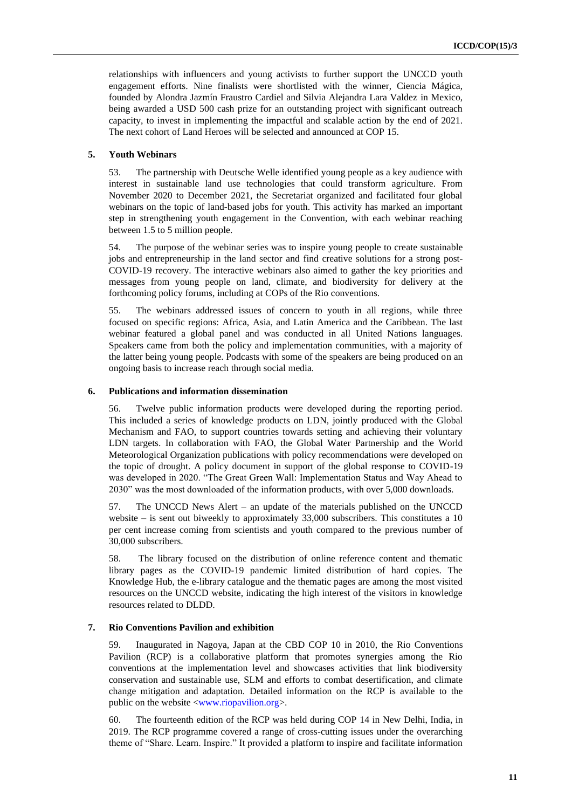relationships with influencers and young activists to further support the UNCCD youth engagement efforts. Nine finalists were shortlisted with the winner, Ciencia Mágica, founded by Alondra Jazmín Fraustro Cardiel and Silvia Alejandra Lara Valdez in Mexico, being awarded a USD 500 cash prize for an outstanding project with significant outreach capacity, to invest in implementing the impactful and scalable action by the end of 2021. The next cohort of Land Heroes will be selected and announced at COP 15.

#### **5. Youth Webinars**

53. The partnership with Deutsche Welle identified young people as a key audience with interest in sustainable land use technologies that could transform agriculture. From November 2020 to December 2021, the Secretariat organized and facilitated four global webinars on the topic of land-based jobs for youth. This activity has marked an important step in strengthening youth engagement in the Convention, with each webinar reaching between 1.5 to 5 million people.

54. The purpose of the webinar series was to inspire young people to create sustainable jobs and entrepreneurship in the land sector and find creative solutions for a strong post-COVID-19 recovery. The interactive webinars also aimed to gather the key priorities and messages from young people on land, climate, and biodiversity for delivery at the forthcoming policy forums, including at COPs of the Rio conventions.

55. The webinars addressed issues of concern to youth in all regions, while three focused on specific regions: Africa, Asia, and Latin America and the Caribbean. The last webinar featured a global panel and was conducted in all United Nations languages. Speakers came from both the policy and implementation communities, with a majority of the latter being young people. Podcasts with some of the speakers are being produced on an ongoing basis to increase reach through social media.

#### **6. Publications and information dissemination**

56. Twelve public information products were developed during the reporting period. This included a series of knowledge products on LDN, jointly produced with the Global Mechanism and FAO, to support countries towards setting and achieving their voluntary LDN targets. In collaboration with FAO, the Global Water Partnership and the World Meteorological Organization publications with policy recommendations were developed on the topic of drought. A policy document in support of the global response to COVID-19 was developed in 2020. "The Great Green Wall: Implementation Status and Way Ahead to 2030" was the most downloaded of the information products, with over 5,000 downloads.

57. The UNCCD News Alert – an update of the materials published on the UNCCD website – is sent out biweekly to approximately 33,000 subscribers. This constitutes a 10 per cent increase coming from scientists and youth compared to the previous number of 30,000 subscribers.

58. The library focused on the distribution of online reference content and thematic library pages as the COVID-19 pandemic limited distribution of hard copies. The Knowledge Hub, the e-library catalogue and the thematic pages are among the most visited resources on the UNCCD website, indicating the high interest of the visitors in knowledge resources related to DLDD.

#### **7. Rio Conventions Pavilion and exhibition**

59. Inaugurated in Nagoya, Japan at the CBD COP 10 in 2010, the Rio Conventions Pavilion (RCP) is a collaborative platform that promotes synergies among the Rio conventions at the implementation level and showcases activities that link biodiversity conservation and sustainable use, SLM and efforts to combat desertification, and climate change mitigation and adaptation. Detailed information on the RCP is available to the public on the website [<www.riopavilion.org>](http://www.riopavilion.org/).

60. The fourteenth edition of the RCP was held during COP 14 in New Delhi, India, in 2019. The RCP programme covered a range of cross-cutting issues under the overarching theme of "Share. Learn. Inspire." It provided a platform to inspire and facilitate information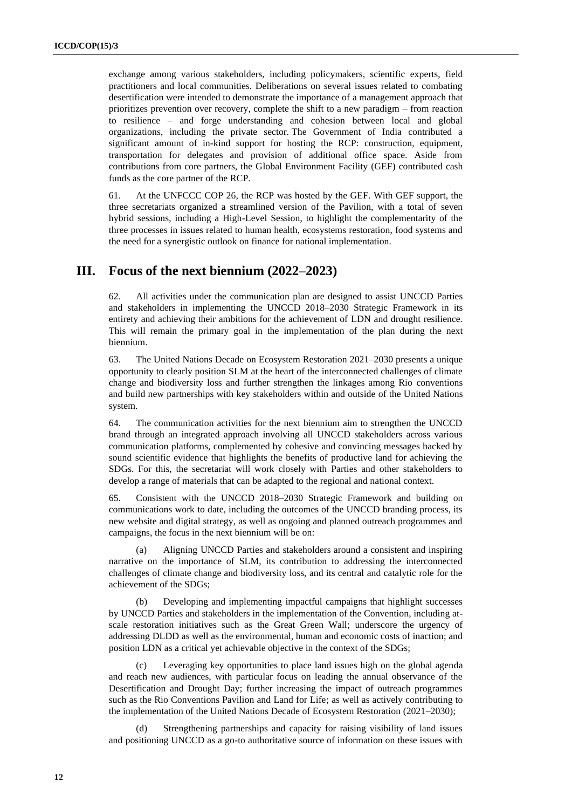exchange among various stakeholders, including policymakers, scientific experts, field practitioners and local communities. Deliberations on several issues related to combating desertification were intended to demonstrate the importance of a management approach that prioritizes prevention over recovery, complete the shift to a new paradigm – from reaction to resilience – and forge understanding and cohesion between local and global organizations, including the private sector. The Government of India contributed a significant amount of in-kind support for hosting the RCP: construction, equipment, transportation for delegates and provision of additional office space. Aside from contributions from core partners, the Global Environment Facility (GEF) contributed cash funds as the core partner of the RCP.

61. At the UNFCCC COP 26, the RCP was hosted by the GEF. With GEF support, the three secretariats organized a streamlined version of the Pavilion, with a total of seven hybrid sessions, including a High-Level Session, to highlight the complementarity of the three processes in issues related to human health, ecosystems restoration, food systems and the need for a synergistic outlook on finance for national implementation.

## **III. Focus of the next biennium (2022–2023)**

62. All activities under the communication plan are designed to assist UNCCD Parties and stakeholders in implementing the UNCCD 2018–2030 Strategic Framework in its entirety and achieving their ambitions for the achievement of LDN and drought resilience. This will remain the primary goal in the implementation of the plan during the next biennium.

63. The United Nations Decade on Ecosystem Restoration 2021–2030 presents a unique opportunity to clearly position SLM at the heart of the interconnected challenges of climate change and biodiversity loss and further strengthen the linkages among Rio conventions and build new partnerships with key stakeholders within and outside of the United Nations system.

64. The communication activities for the next biennium aim to strengthen the UNCCD brand through an integrated approach involving all UNCCD stakeholders across various communication platforms, complemented by cohesive and convincing messages backed by sound scientific evidence that highlights the benefits of productive land for achieving the SDGs. For this, the secretariat will work closely with Parties and other stakeholders to develop a range of materials that can be adapted to the regional and national context.

65. Consistent with the UNCCD 2018–2030 Strategic Framework and building on communications work to date, including the outcomes of the UNCCD branding process, its new website and digital strategy, as well as ongoing and planned outreach programmes and campaigns, the focus in the next biennium will be on:

(a) Aligning UNCCD Parties and stakeholders around a consistent and inspiring narrative on the importance of SLM, its contribution to addressing the interconnected challenges of climate change and biodiversity loss, and its central and catalytic role for the achievement of the SDGs;

(b) Developing and implementing impactful campaigns that highlight successes by UNCCD Parties and stakeholders in the implementation of the Convention, including atscale restoration initiatives such as the Great Green Wall; underscore the urgency of addressing DLDD as well as the environmental, human and economic costs of inaction; and position LDN as a critical yet achievable objective in the context of the SDGs;

Leveraging key opportunities to place land issues high on the global agenda and reach new audiences, with particular focus on leading the annual observance of the Desertification and Drought Day; further increasing the impact of outreach programmes such as the Rio Conventions Pavilion and Land for Life; as well as actively contributing to the implementation of the United Nations Decade of Ecosystem Restoration (2021–2030);

(d) Strengthening partnerships and capacity for raising visibility of land issues and positioning UNCCD as a go-to authoritative source of information on these issues with